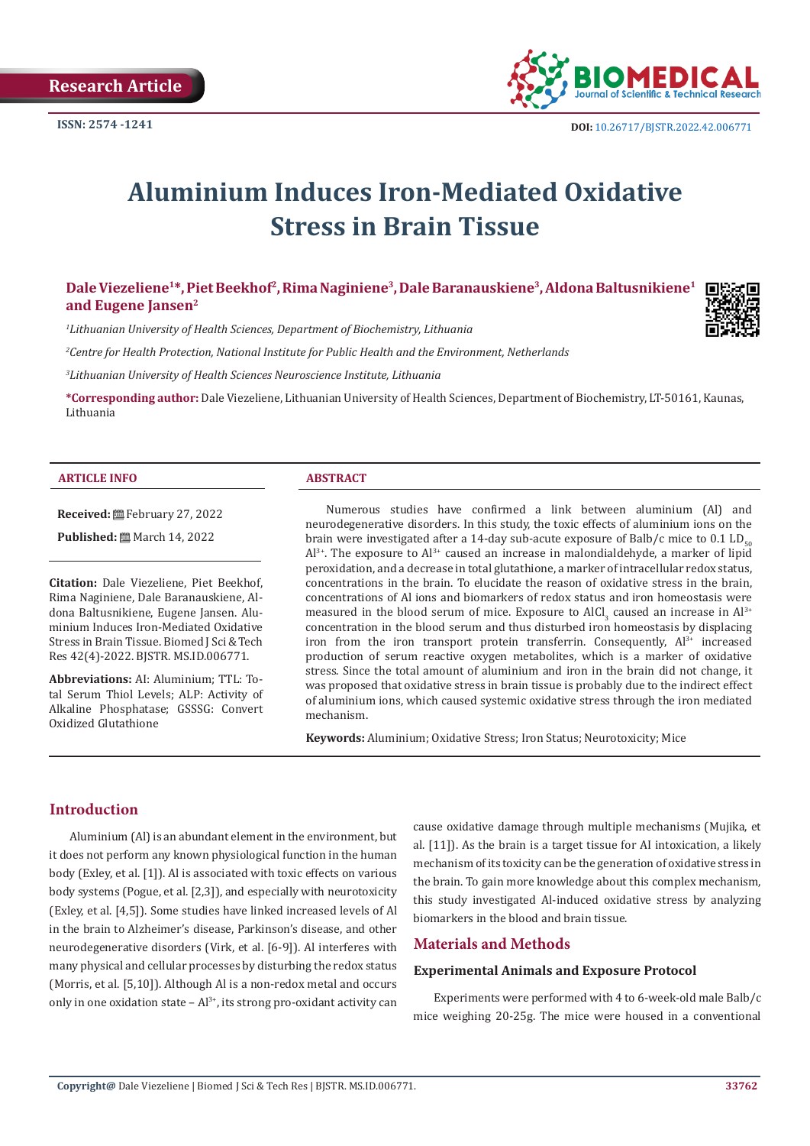

# **Aluminium Induces Iron-Mediated Oxidative Stress in Brain Tissue**

**Dale Viezeliene1\*, Piet Beekhof2, Rima Naginiene3, Dale Baranauskiene3, Aldona Baltusnikiene1 and Eugene Jansen2**

*1 Lithuanian University of Health Sciences, Department of Biochemistry, Lithuania*

*2 Centre for Health Protection, National Institute for Public Health and the Environment, Netherlands*

*3 Lithuanian University of Health Sciences Neuroscience Institute, Lithuania*

**\*Corresponding author:** Dale Viezeliene, Lithuanian University of Health Sciences, Department of Biochemistry, LT-50161, Kaunas, Lithuania

#### **ARTICLE INFO ABSTRACT**

**Received:** February 27, 2022

**Published:** ■ March 14, 2022

**Citation:** Dale Viezeliene, Piet Beekhof, Rima Naginiene, Dale Baranauskiene, Aldona Baltusnikiene, Eugene Jansen. Aluminium Induces Iron-Mediated Oxidative Stress in Brain Tissue. Biomed J Sci & Tech Res 42(4)-2022. BJSTR. MS.ID.006771.

**Abbreviations:** AI: Aluminium; TTL: Total Serum Thiol Levels; ALP: Activity of Alkaline Phosphatase; GSSSG: Convert Oxidized Glutathione

Numerous studies have confirmed a link between aluminium (Al) and neurodegenerative disorders. In this study, the toxic effects of aluminium ions on the brain were investigated after a 14-day sub-acute exposure of Balb/c mice to 0.1 LD<sub>50</sub>  $Al^{3+}$ . The exposure to  $Al^{3+}$  caused an increase in malondialdehyde, a marker of lipid peroxidation, and a decrease in total glutathione, a marker of intracellular redox status, concentrations in the brain. To elucidate the reason of oxidative stress in the brain, concentrations of Al ions and biomarkers of redox status and iron homeostasis were measured in the blood serum of mice. Exposure to AlCl<sub>3</sub> caused an increase in Al<sup>3+</sup> concentration in the blood serum and thus disturbed iron homeostasis by displacing iron from the iron transport protein transferrin. Consequently,  $Al^{3+}$  increased production of serum reactive oxygen metabolites, which is a marker of oxidative stress. Since the total amount of aluminium and iron in the brain did not change, it was proposed that oxidative stress in brain tissue is probably due to the indirect effect of aluminium ions, which caused systemic oxidative stress through the iron mediated mechanism.

**Keywords:** Aluminium; Oxidative Stress; Iron Status; Neurotoxicity; Mice

# **Introduction**

Aluminium (Al) is an abundant element in the environment, but it does not perform any known physiological function in the human body (Exley, et al. [1]). Al is associated with toxic effects on various body systems (Pogue, et al. [2,3]), and especially with neurotoxicity (Exley, et al. [4,5]). Some studies have linked increased levels of Al in the brain to Alzheimer's disease, Parkinson's disease, and other neurodegenerative disorders (Virk, et al. [6-9]). Al interferes with many physical and cellular processes by disturbing the redox status (Morris, et al. [5,10]). Although Al is a non-redox metal and occurs only in one oxidation state -  $Al^{3+}$ , its strong pro-oxidant activity can cause oxidative damage through multiple mechanisms (Mujika, et al. [11]). As the brain is a target tissue for AI intoxication, a likely mechanism of its toxicity can be the generation of oxidative stress in the brain. To gain more knowledge about this complex mechanism, this study investigated Al-induced oxidative stress by analyzing biomarkers in the blood and brain tissue.

# **Materials and Methods**

#### **Experimental Animals and Exposure Protocol**

Experiments were performed with 4 to 6-week-old male Balb/c mice weighing 20-25g. The mice were housed in a conventional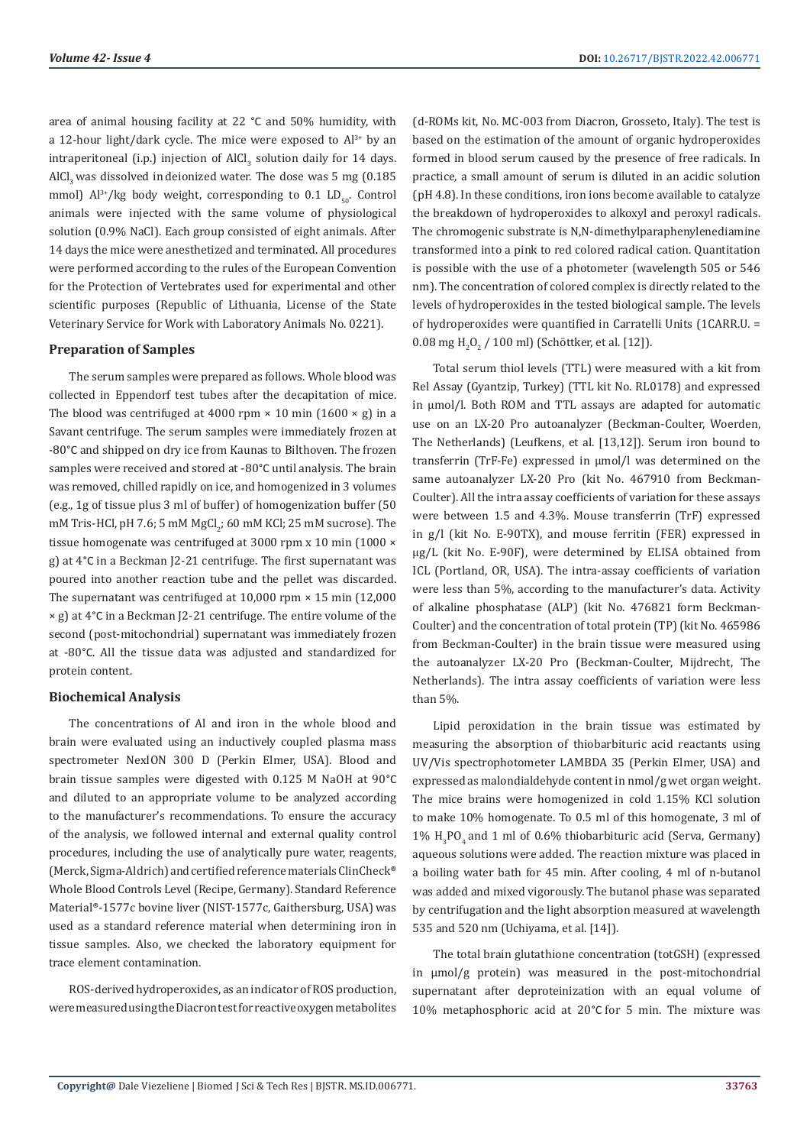area of animal housing facility at 22 °C and 50% humidity, with a 12-hour light/dark cycle. The mice were exposed to  $Al^{3+}$  by an intraperitoneal (i.p.) injection of  $\text{AlCl}_3$  solution daily for  $14$  days. AlCl<sub>3</sub> was dissolved in deionized water. The dose was 5 mg (0.185) mmol)  $Al^{3+}/kg$  body weight, corresponding to 0.1 LD<sub>50</sub>. Control animals were injected with the same volume of physiological solution (0.9% NaCl). Each group consisted of eight animals. After 14 days the mice were anesthetized and terminated. All procedures were performed according to the rules of the European Convention for the Protection of Vertebrates used for experimental and other scientific purposes (Republic of Lithuania, License of the State Veterinary Service for Work with Laboratory Animals No. 0221).

#### **Preparation of Samples**

The serum samples were prepared as follows. Whole blood was collected in Eppendorf test tubes after the decapitation of mice. The blood was centrifuged at 4000 rpm  $\times$  10 min (1600  $\times$  g) in a Savant centrifuge. The serum samples were immediately frozen at -80°C and shipped on dry ice from Kaunas to Bilthoven. The frozen samples were received and stored at -80°C until analysis. The brain was removed, chilled rapidly on ice, and homogenized in 3 volumes (e.g., 1g of tissue plus 3 ml of buffer) of homogenization buffer (50 mM Tris-HCl, pH  $7.6$ ; 5 mM MgCl $_2$ ; 60 mM KCl; 25 mM sucrose). The tissue homogenate was centrifuged at 3000 rpm x 10 min (1000 × g) at 4°C in a Beckman J2-21 centrifuge. The first supernatant was poured into another reaction tube and the pellet was discarded. The supernatant was centrifuged at  $10,000$  rpm  $\times$  15 min (12,000) × g) at 4°C in a Beckman J2-21 centrifuge. The entire volume of the second (post-mitochondrial) supernatant was immediately frozen at -80°C. All the tissue data was adjusted and standardized for protein content.

### **Biochemical Analysis**

The concentrations of Al and iron in the whole blood and brain were evaluated using an inductively coupled plasma mass spectrometer NexION 300 D (Perkin Elmer, USA). Blood and brain tissue samples were digested with 0.125 M NaOH at 90°C and diluted to an appropriate volume to be analyzed according to the manufacturer's recommendations. To ensure the accuracy of the analysis, we followed internal and external quality control procedures, including the use of analytically pure water, reagents, (Merck, Sigma-Aldrich) and certified reference materials ClinCheck® Whole Blood Controls Level (Recipe, Germany). Standard Reference Material®-1577c bovine liver (NIST-1577c, Gaithersburg, USA) was used as a standard reference material when determining iron in tissue samples. Also, we checked the laboratory equipment for trace element contamination.

ROS-derived hydroperoxides, as an indicator of ROS production, were measured using the Diacron test for reactive oxygen metabolites (d-ROMs kit, No. MC-003 from Diacron, Grosseto, Italy). The test is based on the estimation of the amount of organic hydroperoxides formed in blood serum caused by the presence of free radicals. In practice, a small amount of serum is diluted in an acidic solution (pH 4.8). In these conditions, iron ions become available to catalyze the breakdown of hydroperoxides to alkoxyl and peroxyl radicals. The chromogenic substrate is N,N-dimethylparaphenylenediamine transformed into a pink to red colored radical cation. Quantitation is possible with the use of a photometer (wavelength 505 or 546 nm). The concentration of colored complex is directly related to the levels of hydroperoxides in the tested biological sample. The levels of hydroperoxides were quantified in Carratelli Units (1CARR.U. =  $0.08 \text{ mg H}_2\text{O}_2$  /  $100 \text{ ml}$  (Schöttker, et al. [12]).

Total serum thiol levels (TTL) were measured with a kit from Rel Assay (Gyantzip, Turkey) (TTL kit No. RL0178) and expressed in µmol/l. Both ROM and TTL assays are adapted for automatic use on an LX-20 Pro autoanalyzer (Beckman-Coulter, Woerden, The Netherlands) (Leufkens, et al. [13,12]). Serum iron bound to transferrin (TrF-Fe) expressed in µmol/l was determined on the same autoanalyzer LX-20 Pro (kit No. 467910 from Beckman-Coulter). All the intra assay coefficients of variation for these assays were between 1.5 and 4.3%. Mouse transferrin (TrF) expressed in g/l (kit No. E-90TX), and mouse ferritin (FER) expressed in µg/L (kit No. E-90F), were determined by ELISA obtained from ICL (Portland, OR, USA). The intra-assay coefficients of variation were less than 5%, according to the manufacturer's data. Activity of alkaline phosphatase (ALP) (kit No. 476821 form Beckman-Coulter) and the concentration of total protein (TP) (kit No. 465986 from Beckman-Coulter) in the brain tissue were measured using the autoanalyzer LX-20 Pro (Beckman-Coulter, Mijdrecht, The Netherlands). The intra assay coefficients of variation were less than 5%.

Lipid peroxidation in the brain tissue was estimated by measuring the absorption of thiobarbituric acid reactants using UV/Vis spectrophotometer LAMBDA 35 (Perkin Elmer, USA) and expressed as malondialdehyde content in nmol/g wet organ weight. The mice brains were homogenized in cold 1.15% KCl solution to make 10% homogenate. To 0.5 ml of this homogenate, 3 ml of  $1\%$  H<sub>3</sub>PO<sub>4</sub> and 1 ml of 0.6% thiobarbituric acid (Serva, Germany) aqueous solutions were added. The reaction mixture was placed in a boiling water bath for 45 min. After cooling, 4 ml of n-butanol was added and mixed vigorously. The butanol phase was separated by centrifugation and the light absorption measured at wavelength 535 and 520 nm (Uchiyama, et al. [14]).

The total brain glutathione concentration (totGSH) (expressed in  $\mu$ mol/g protein) was measured in the post-mitochondrial supernatant after deproteinization with an equal volume of 10% metaphosphoric acid at 20°C for 5 min. The mixture was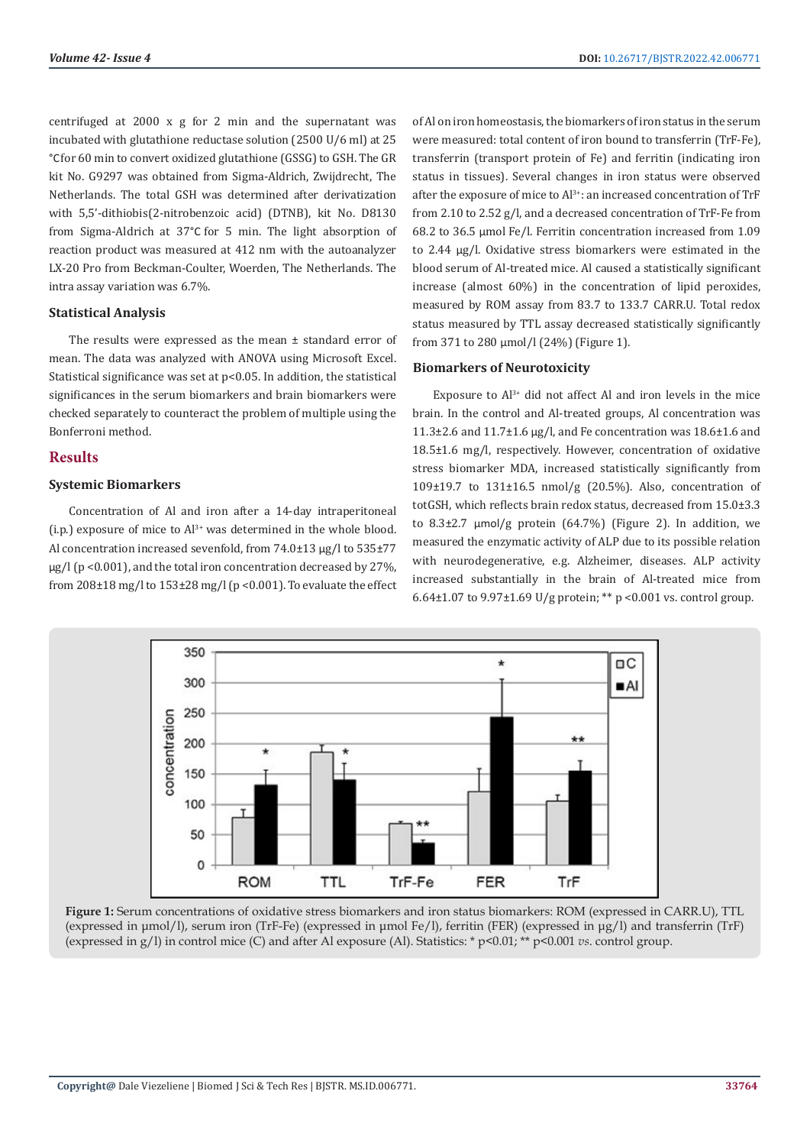centrifuged at 2000 x g for 2 min and the supernatant was incubated with glutathione reductase solution (2500 U/6 ml) at 25 °Cfor 60 min to convert oxidized glutathione (GSSG) to GSH. The GR kit No. G9297 was obtained from Sigma-Aldrich, Zwijdrecht, The Netherlands. The total GSH was determined after derivatization with 5,5'-dithiobis(2-nitrobenzoic acid) (DTNB), kit No. D8130 from Sigma-Aldrich at 37°C for 5 min. The light absorption of reaction product was measured at 412 nm with the autoanalyzer LX-20 Pro from Beckman-Coulter, Woerden, The Netherlands. The intra assay variation was 6.7%.

### **Statistical Analysis**

The results were expressed as the mean ± standard error of mean. The data was analyzed with ANOVA using Microsoft Excel. Statistical significance was set at p<0.05. In addition, the statistical significances in the serum biomarkers and brain biomarkers were checked separately to counteract the problem of multiple using the Bonferroni method.

### **Results**

#### **Systemic Biomarkers**

Concentration of Al and iron after a 14-day intraperitoneal (i.p.) exposure of mice to  $Al^{3+}$  was determined in the whole blood. Al concentration increased sevenfold, from 74.0±13 ug/l to 535±77  $\mu$ g/l (p <0.001), and the total iron concentration decreased by 27%, from 208±18 mg/l to 153±28 mg/l (p <0.001). To evaluate the effect of Al on iron homeostasis, the biomarkers of iron status in the serum were measured: total content of iron bound to transferrin (TrF-Fe), transferrin (transport protein of Fe) and ferritin (indicating iron status in tissues). Several changes in iron status were observed after the exposure of mice to  $Al^{3+}$ : an increased concentration of TrF from 2.10 to 2.52 g/l, and a decreased concentration of TrF-Fe from 68.2 to 36.5 µmol Fe/l. Ferritin concentration increased from 1.09 to 2.44 µg/l. Oxidative stress biomarkers were estimated in the blood serum of Al-treated mice. Al caused a statistically significant increase (almost 60%) in the concentration of lipid peroxides, measured by ROM assay from 83.7 to 133.7 CARR.U. Total redox status measured by TTL assay decreased statistically significantly from 371 to 280 µmol/l (24%) (Figure 1).

# **Biomarkers of Neurotoxicity**

Exposure to  $Al^{3+}$  did not affect Al and iron levels in the mice brain. In the control and Al-treated groups, Al concentration was 11.3±2.6 and 11.7±1.6 µg/l, and Fe concentration was 18.6±1.6 and 18.5±1.6 mg/l, respectively. However, concentration of oxidative stress biomarker MDA, increased statistically significantly from 109±19.7 to 131±16.5 nmol/g (20.5%). Also, concentration of totGSH, which reflects brain redox status, decreased from 15.0±3.3 to  $8.3\pm2.7$   $\mu$ mol/g protein (64.7%) (Figure 2). In addition, we measured the enzymatic activity of ALP due to its possible relation with neurodegenerative, e.g. Alzheimer, diseases. ALP activity increased substantially in the brain of Al-treated mice from 6.64±1.07 to 9.97±1.69 U/g protein; \*\* p <0.001 vs. control group.



**Figure 1:** Serum concentrations of oxidative stress biomarkers and iron status biomarkers: ROM (expressed in CARR.U), TTL (expressed in μmol/l), serum iron (TrF-Fe) (expressed in μmol Fe/l), ferritin (FER) (expressed in μg/l) and transferrin (TrF) (expressed in g/l) in control mice (C) and after Al exposure (Al). Statistics: \* p<0.01; \*\* p<0.001 *vs*. control group.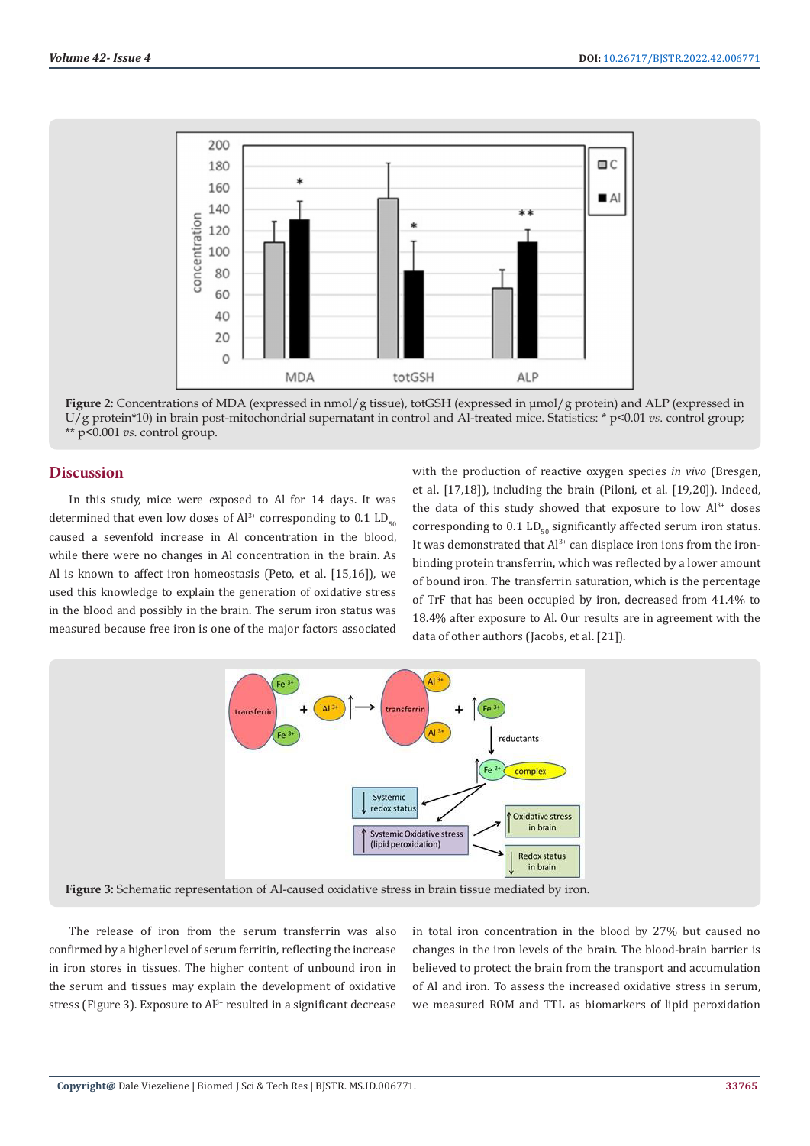

**Figure 2:** Concentrations of MDA (expressed in nmol/g tissue), totGSH (expressed in μmol/g protein) and ALP (expressed in U/g protein\*10) in brain post-mitochondrial supernatant in control and Al-treated mice. Statistics: \* p<0.01 *vs*. control group; \*\* p<0.001 *vs*. control group.

### **Discussion**

In this study, mice were exposed to Al for 14 days. It was determined that even low doses of  $Al^{3+}$  corresponding to 0.1 LD<sub>50</sub> caused a sevenfold increase in Al concentration in the blood, while there were no changes in Al concentration in the brain. As Al is known to affect iron homeostasis (Peto, et al. [15,16]), we used this knowledge to explain the generation of oxidative stress in the blood and possibly in the brain. The serum iron status was measured because free iron is one of the major factors associated

with the production of reactive oxygen species *in vivo* (Bresgen, et al. [17,18]), including the brain (Piloni, et al. [19,20]). Indeed, the data of this study showed that exposure to low  $Al^{3+}$  doses corresponding to  $0.1$  LD<sub>50</sub> significantly affected serum iron status. It was demonstrated that  $Al^{3+}$  can displace iron ions from the ironbinding protein transferrin, which was reflected by a lower amount of bound iron. The transferrin saturation, which is the percentage of TrF that has been occupied by iron, decreased from 41.4% to 18.4% after exposure to Al. Our results are in agreement with the data of other authors (Jacobs, et al. [21]).



**Figure 3:** Schematic representation of Al-caused oxidative stress in brain tissue mediated by iron.

The release of iron from the serum transferrin was also confirmed by a higher level of serum ferritin, reflecting the increase in iron stores in tissues. The higher content of unbound iron in the serum and tissues may explain the development of oxidative stress (Figure 3). Exposure to Al<sup>3+</sup> resulted in a significant decrease in total iron concentration in the blood by 27% but caused no changes in the iron levels of the brain. The blood-brain barrier is believed to protect the brain from the transport and accumulation of Al and iron. To assess the increased oxidative stress in serum, we measured ROM and TTL as biomarkers of lipid peroxidation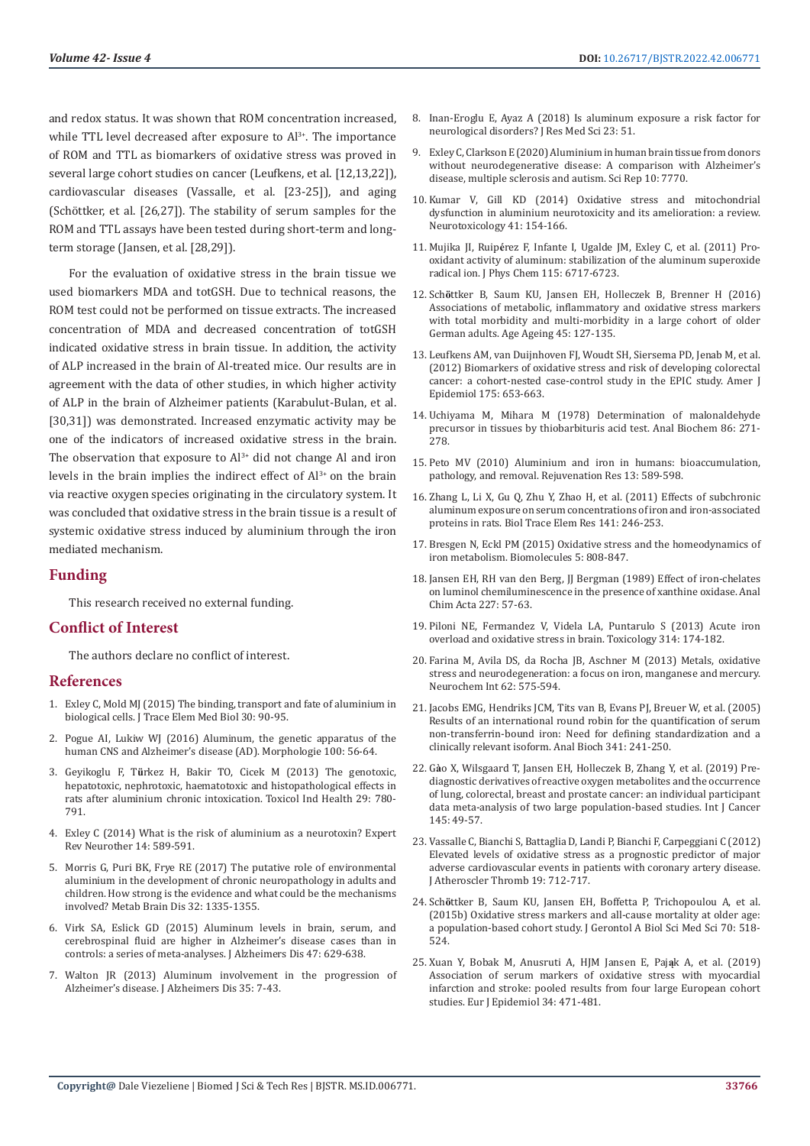and redox status. It was shown that ROM concentration increased, while TTL level decreased after exposure to  $Al^{3+}$ . The importance of ROM and TTL as biomarkers of oxidative stress was proved in several large cohort studies on cancer (Leufkens, et al. [12,13,22]), cardiovascular diseases (Vassalle, et al. [23-25]), and aging (Schöttker, et al. [26,27]). The stability of serum samples for the ROM and TTL assays have been tested during short-term and longterm storage (Jansen, et al. [28,29]).

For the evaluation of oxidative stress in the brain tissue we used biomarkers MDA and totGSH. Due to technical reasons, the ROM test could not be performed on tissue extracts. The increased concentration of MDA and decreased concentration of totGSH indicated oxidative stress in brain tissue. In addition, the activity of ALP increased in the brain of Al-treated mice. Our results are in agreement with the data of other studies, in which higher activity of ALP in the brain of Alzheimer patients (Karabulut-Bulan, et al. [30,31]) was demonstrated. Increased enzymatic activity may be one of the indicators of increased oxidative stress in the brain. The observation that exposure to  $Al^{3+}$  did not change Al and iron levels in the brain implies the indirect effect of  $Al^{3+}$  on the brain via reactive oxygen species originating in the circulatory system. It was concluded that oxidative stress in the brain tissue is a result of systemic oxidative stress induced by aluminium through the iron mediated mechanism.

# **Funding**

This research received no external funding.

# **Conflict of Interest**

The authors declare no conflict of interest.

### **References**

- 1. [Exley C, Mold MJ \(2015\) The binding, transport and fate of aluminium in](https://pubmed.ncbi.nlm.nih.gov/25498314/)  [biological cells. J Trace Elem Med Biol 30: 90-95.](https://pubmed.ncbi.nlm.nih.gov/25498314/)
- 2. [Pogue AI, Lukiw WJ \(2016\) Aluminum, the genetic apparatus of the](https://pubmed.ncbi.nlm.nih.gov/26969391/)  [human CNS and Alzheimer's disease \(AD\). Morphologie 100: 56-64.](https://pubmed.ncbi.nlm.nih.gov/26969391/)
- 3. Geyikoglu F, T**ü**[rkez H, Bakir TO, Cicek M \(2013\) The genotoxic,](https://pubmed.ncbi.nlm.nih.gov/22421584/)  [hepatotoxic, nephrotoxic, haematotoxic and histopathological effects in](https://pubmed.ncbi.nlm.nih.gov/22421584/)  [rats after aluminium chronic intoxication. Toxicol Ind Health 29: 780-](https://pubmed.ncbi.nlm.nih.gov/22421584/) [791.](https://pubmed.ncbi.nlm.nih.gov/22421584/)
- 4. [Exley C \(2014\) What is the risk of aluminium as a neurotoxin? Expert](https://pubmed.ncbi.nlm.nih.gov/24779346/)  [Rev Neurother 14: 589-591.](https://pubmed.ncbi.nlm.nih.gov/24779346/)
- 5. [Morris G, Puri BK, Frye RE \(2017\) The putative role of environmental](https://www.ncbi.nlm.nih.gov/labs/pmc/articles/PMC5596046/)  [aluminium in the development of chronic neuropathology in adults and](https://www.ncbi.nlm.nih.gov/labs/pmc/articles/PMC5596046/)  [children. How strong is the evidence and what could be the mechanisms](https://www.ncbi.nlm.nih.gov/labs/pmc/articles/PMC5596046/)  [involved? Metab Brain Dis 32: 1335-1355.](https://www.ncbi.nlm.nih.gov/labs/pmc/articles/PMC5596046/)
- 6. [Virk SA, Eslick GD \(2015\) Aluminum levels in brain, serum, and](https://pubmed.ncbi.nlm.nih.gov/26401698/)  [cerebrospinal fluid are higher in Alzheimer's disease cases than in](https://pubmed.ncbi.nlm.nih.gov/26401698/)  [controls: a series of meta-analyses. J Alzheimers Dis 47: 629-638.](https://pubmed.ncbi.nlm.nih.gov/26401698/)
- 7. [Walton JR \(2013\) Aluminum involvement in the progression of](https://pubmed.ncbi.nlm.nih.gov/23380995/)  [Alzheimer's disease. J Alzheimers Dis 35: 7-43.](https://pubmed.ncbi.nlm.nih.gov/23380995/)
- 8. Inan-Eroglu E, Ayaz A (2018) Is aluminum exposure a risk factor for neurological disorders? J Res Med Sci 23: 51.
- 9. [Exley C, Clarkson E \(2020\) Aluminium in human brain tissue from donors](https://www.nature.com/articles/s41598-020-64734-6) [without neurodegenerative disease: A comparison with Alzheimer's](https://www.nature.com/articles/s41598-020-64734-6) [disease, multiple sclerosis and autism. Sci Rep 10: 7770.](https://www.nature.com/articles/s41598-020-64734-6)
- 10. [Kumar V, Gill KD \(2014\) Oxidative stress and mitochondrial](https://pubmed.ncbi.nlm.nih.gov/24560992/) [dysfunction in aluminium neurotoxicity and its amelioration: a review.](https://pubmed.ncbi.nlm.nih.gov/24560992/) [Neurotoxicology 41: 154-166.](https://pubmed.ncbi.nlm.nih.gov/24560992/)
- 11. Mujika JI, Ruip**é**[rez F, Infante I, Ugalde JM, Exley C, et al. \(2011\) Pro](https://pubs.acs.org/doi/10.1021/jp203290b)[oxidant activity of aluminum: stabilization of the aluminum superoxide](https://pubs.acs.org/doi/10.1021/jp203290b) [radical ion. J Phys Chem 115: 6717-6723.](https://pubs.acs.org/doi/10.1021/jp203290b)
- 12. Sch**ö**[ttker B, Saum KU, Jansen EH, Holleczek B, Brenner H \(2016\)](https://pubmed.ncbi.nlm.nih.gov/26563887/) [Associations of metabolic, inflammatory and oxidative stress markers](https://pubmed.ncbi.nlm.nih.gov/26563887/) [with total morbidity and multi-morbidity in a large cohort of older](https://pubmed.ncbi.nlm.nih.gov/26563887/) [German adults. Age Ageing 45: 127-135.](https://pubmed.ncbi.nlm.nih.gov/26563887/)
- 13. [Leufkens AM, van Duijnhoven FJ, Woudt SH, Siersema PD, Jenab M, et al.](https://pubmed.ncbi.nlm.nih.gov/22422922/) [\(2012\) Biomarkers of oxidative stress and risk of developing colorectal](https://pubmed.ncbi.nlm.nih.gov/22422922/) [cancer: a cohort-nested case-control study in the EPIC study. Amer J](https://pubmed.ncbi.nlm.nih.gov/22422922/) [Epidemiol 175: 653-663.](https://pubmed.ncbi.nlm.nih.gov/22422922/)
- 14. [Uchiyama M, Mihara M \(1978\) Determination of malonaldehyde](https://pubmed.ncbi.nlm.nih.gov/655387/) [precursor in tissues by thiobarbituris acid test. Anal Biochem 86: 271-](https://pubmed.ncbi.nlm.nih.gov/655387/) [278.](https://pubmed.ncbi.nlm.nih.gov/655387/)
- 15. [Peto MV \(2010\) Aluminium and iron in humans: bioaccumulation,](https://pubmed.ncbi.nlm.nih.gov/21142669/) [pathology, and removal. Rejuvenation Res 13: 589-598.](https://pubmed.ncbi.nlm.nih.gov/21142669/)
- 16. [Zhang L, Li X, Gu Q, Zhu Y, Zhao H, et al. \(2011\) Effects of subchronic](https://link.springer.com/article/10.1007/s12011-010-8725-y) [aluminum exposure on serum concentrations of iron and iron-associated](https://link.springer.com/article/10.1007/s12011-010-8725-y) proteins in rats. Biol Trace [Elem Res 141: 246-253.](https://link.springer.com/article/10.1007/s12011-010-8725-y)
- 17. [Bresgen N, Eckl PM \(2015\) Oxidative stress and the homeodynamics of](https://www.ncbi.nlm.nih.gov/labs/pmc/articles/PMC4496698/) [iron metabolism. Biomolecules 5: 808-847.](https://www.ncbi.nlm.nih.gov/labs/pmc/articles/PMC4496698/)
- 18. [Jansen EH, RH van den Berg, JJ Bergman \(1989\) Effect of iron-chelates](https://www.sciencedirect.com/science/article/abs/pii/S0003267000826458) [on luminol chemiluminescence in the presence of xanthine oxidase. Anal](https://www.sciencedirect.com/science/article/abs/pii/S0003267000826458) [Chim Acta 227: 57-63.](https://www.sciencedirect.com/science/article/abs/pii/S0003267000826458)
- 19. [Piloni NE, Fermandez V, Videla LA, Puntarulo S \(2013\) Acute iron](https://pubmed.ncbi.nlm.nih.gov/24120471/) [overload and oxidative stress in brain. Toxicology 314: 174-182.](https://pubmed.ncbi.nlm.nih.gov/24120471/)
- 20. [Farina M, Avila DS, da Rocha JB, Aschner M \(2013\) Metals, oxidative](https://pubmed.ncbi.nlm.nih.gov/23266600/) [stress and neurodegeneration: a focus on iron, manganese and mercury.](https://pubmed.ncbi.nlm.nih.gov/23266600/) [Neurochem Int 62: 575-594.](https://pubmed.ncbi.nlm.nih.gov/23266600/)
- 21. [Jacobs EMG, Hendriks JCM, Tits van B, Evans PJ, Breuer W, et al. \(2005\)](https://pubmed.ncbi.nlm.nih.gov/15907869/) [Results of an international round robin for the quantification of serum](https://pubmed.ncbi.nlm.nih.gov/15907869/) [non-transferrin-bound iron: Need for defining standardization and a](https://pubmed.ncbi.nlm.nih.gov/15907869/) [clinically relevant isoform. Anal Bioch 341: 241-250.](https://pubmed.ncbi.nlm.nih.gov/15907869/)
- 22. G**à**[o X, Wilsgaard T, Jansen EH, Holleczek B, Zhang Y, et al. \(2019\) Pre](https://pubmed.ncbi.nlm.nih.gov/30561010/)[diagnostic derivatives of reactive oxygen metabolites and the occurrence](https://pubmed.ncbi.nlm.nih.gov/30561010/) [of lung, colorectal, breast and prostate cancer: an individual participant](https://pubmed.ncbi.nlm.nih.gov/30561010/) [data meta-analysis of two large population-based studies. Int J Cancer](https://pubmed.ncbi.nlm.nih.gov/30561010/) [145: 49-57.](https://pubmed.ncbi.nlm.nih.gov/30561010/)
- 23. [Vassalle C, Bianchi S, Battaglia D, Landi P, Bianchi F, Carpeggiani C \(2012\)](https://pubmed.ncbi.nlm.nih.gov/22785135/) [Elevated levels of oxidative stress as a prognostic predictor of major](https://pubmed.ncbi.nlm.nih.gov/22785135/) [adverse cardiovascular events in patients with coronary artery disease.](https://pubmed.ncbi.nlm.nih.gov/22785135/) [J Atheroscler Thromb 19: 712-717.](https://pubmed.ncbi.nlm.nih.gov/22785135/)
- 24. Sch**ö**[ttker B, Saum KU, Jansen EH, Boffetta P, Trichopoulou A, et al.](https://pubmed.ncbi.nlm.nih.gov/25070660/) [\(2015b\) Oxidative stress markers and all-cause mortality at older age:](https://pubmed.ncbi.nlm.nih.gov/25070660/) [a population-based cohort study. J Gerontol A Biol Sci Med Sci 70: 518-](https://pubmed.ncbi.nlm.nih.gov/25070660/) [524.](https://pubmed.ncbi.nlm.nih.gov/25070660/)
- 25. [Xuan Y, Bobak M, Anusruti A, HJM Jansen E, Paj](https://pubmed.ncbi.nlm.nih.gov/30406496/)**ą**k A, et al. (2019) [Association of serum markers of oxidative stress with myocardial](https://pubmed.ncbi.nlm.nih.gov/30406496/) [infarction and stroke: pooled results from four large European cohort](https://pubmed.ncbi.nlm.nih.gov/30406496/) [studies. Eur J Epidemiol 34: 471-481.](https://pubmed.ncbi.nlm.nih.gov/30406496/)